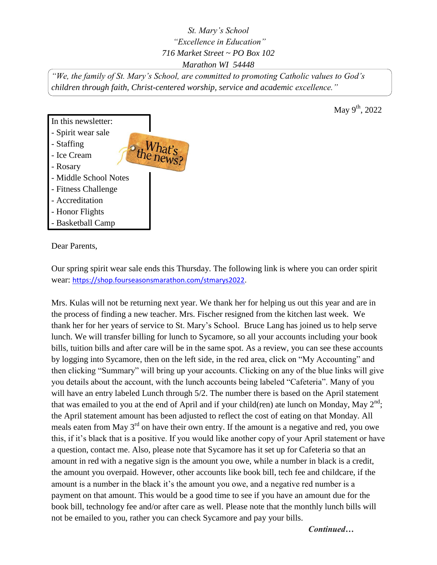*St. Mary's School "Excellence in Education" 716 Market Street ~ PO Box 102 Marathon WI 54448*

*"We, the family of St. Mary's School, are committed to promoting Catholic values to God's children through faith, Christ-centered worship, service and academic excellence."*



Dear Parents,

Our spring spirit wear sale ends this Thursday. The following link is where you can order spirit wear: [https://shop.fourseasonsmarathon.com/stmarys2022.](https://shop.fourseasonsmarathon.com/stmarys2022)

Mrs. Kulas will not be returning next year. We thank her for helping us out this year and are in the process of finding a new teacher. Mrs. Fischer resigned from the kitchen last week. We thank her for her years of service to St. Mary's School. Bruce Lang has joined us to help serve lunch. We will transfer billing for lunch to Sycamore, so all your accounts including your book bills, tuition bills and after care will be in the same spot. As a review, you can see these accounts by logging into Sycamore, then on the left side, in the red area, click on "My Accounting" and then clicking "Summary" will bring up your accounts. Clicking on any of the blue links will give you details about the account, with the lunch accounts being labeled "Cafeteria". Many of you will have an entry labeled Lunch through 5/2. The number there is based on the April statement that was emailed to you at the end of April and if your child(ren) ate lunch on Monday, May  $2<sup>nd</sup>$ ; the April statement amount has been adjusted to reflect the cost of eating on that Monday. All meals eaten from May 3<sup>rd</sup> on have their own entry. If the amount is a negative and red, you owe this, if it's black that is a positive. If you would like another copy of your April statement or have a question, contact me. Also, please note that Sycamore has it set up for Cafeteria so that an amount in red with a negative sign is the amount you owe, while a number in black is a credit, the amount you overpaid. However, other accounts like book bill, tech fee and childcare, if the amount is a number in the black it's the amount you owe, and a negative red number is a payment on that amount. This would be a good time to see if you have an amount due for the book bill, technology fee and/or after care as well. Please note that the monthly lunch bills will not be emailed to you, rather you can check Sycamore and pay your bills.

May 9<sup>th</sup>, 2022

*Continued…*